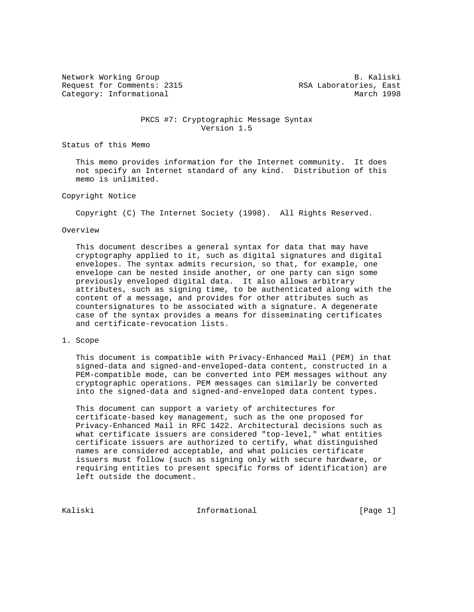Network Working Group and the set of the set of the set of the B. Kaliski Request for Comments: 2315 RSA Laboratories, East Category: Informational and March 1998

## PKCS #7: Cryptographic Message Syntax Version 1.5

Status of this Memo

 This memo provides information for the Internet community. It does not specify an Internet standard of any kind. Distribution of this memo is unlimited.

## Copyright Notice

Copyright (C) The Internet Society (1998). All Rights Reserved.

#### Overview

 This document describes a general syntax for data that may have cryptography applied to it, such as digital signatures and digital envelopes. The syntax admits recursion, so that, for example, one envelope can be nested inside another, or one party can sign some previously enveloped digital data. It also allows arbitrary attributes, such as signing time, to be authenticated along with the content of a message, and provides for other attributes such as countersignatures to be associated with a signature. A degenerate case of the syntax provides a means for disseminating certificates and certificate-revocation lists.

### 1. Scope

 This document is compatible with Privacy-Enhanced Mail (PEM) in that signed-data and signed-and-enveloped-data content, constructed in a PEM-compatible mode, can be converted into PEM messages without any cryptographic operations. PEM messages can similarly be converted into the signed-data and signed-and-enveloped data content types.

 This document can support a variety of architectures for certificate-based key management, such as the one proposed for Privacy-Enhanced Mail in RFC 1422. Architectural decisions such as what certificate issuers are considered "top-level," what entities certificate issuers are authorized to certify, what distinguished names are considered acceptable, and what policies certificate issuers must follow (such as signing only with secure hardware, or requiring entities to present specific forms of identification) are left outside the document.

Kaliski 10. Informational 1996 [Page 1]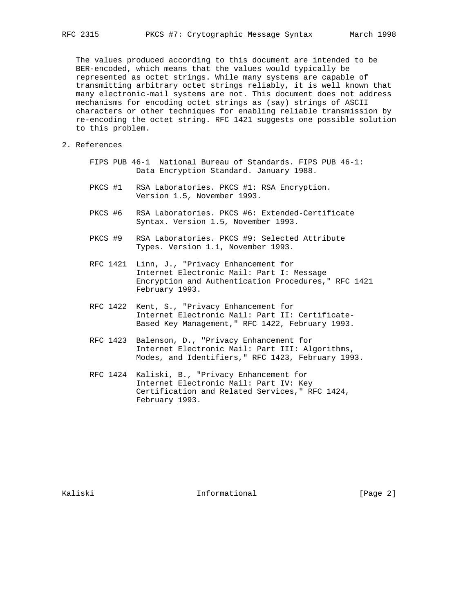The values produced according to this document are intended to be BER-encoded, which means that the values would typically be represented as octet strings. While many systems are capable of transmitting arbitrary octet strings reliably, it is well known that many electronic-mail systems are not. This document does not address mechanisms for encoding octet strings as (say) strings of ASCII characters or other techniques for enabling reliable transmission by re-encoding the octet string. RFC 1421 suggests one possible solution to this problem.

- 2. References
	- FIPS PUB 46-1 National Bureau of Standards. FIPS PUB 46-1: Data Encryption Standard. January 1988.
	- PKCS #1 RSA Laboratories. PKCS #1: RSA Encryption. Version 1.5, November 1993.
	- PKCS #6 RSA Laboratories. PKCS #6: Extended-Certificate Syntax. Version 1.5, November 1993.
	- PKCS #9 RSA Laboratories. PKCS #9: Selected Attribute Types. Version 1.1, November 1993.
	- RFC 1421 Linn, J., "Privacy Enhancement for Internet Electronic Mail: Part I: Message Encryption and Authentication Procedures," RFC 1421 February 1993.
	- RFC 1422 Kent, S., "Privacy Enhancement for Internet Electronic Mail: Part II: Certificate- Based Key Management," RFC 1422, February 1993.
	- RFC 1423 Balenson, D., "Privacy Enhancement for Internet Electronic Mail: Part III: Algorithms, Modes, and Identifiers," RFC 1423, February 1993.
	- RFC 1424 Kaliski, B., "Privacy Enhancement for Internet Electronic Mail: Part IV: Key Certification and Related Services," RFC 1424, February 1993.

Kaliski 10 Informational [Page 2]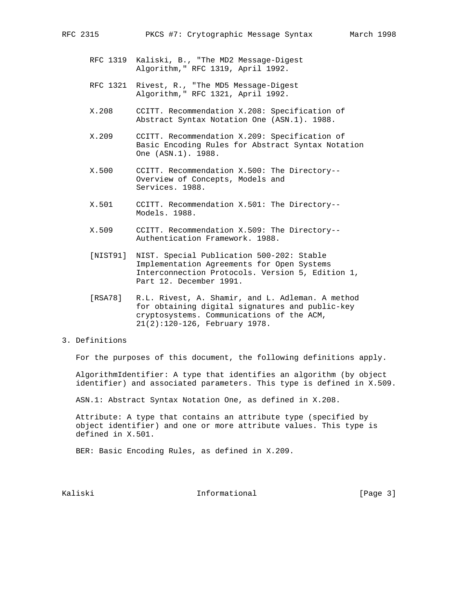- RFC 1319 Kaliski, B., "The MD2 Message-Digest Algorithm," RFC 1319, April 1992.
- RFC 1321 Rivest, R., "The MD5 Message-Digest Algorithm," RFC 1321, April 1992.
- X.208 CCITT. Recommendation X.208: Specification of Abstract Syntax Notation One (ASN.1). 1988.
- X.209 CCITT. Recommendation X.209: Specification of Basic Encoding Rules for Abstract Syntax Notation One (ASN.1). 1988.
- X.500 CCITT. Recommendation X.500: The Directory-- Overview of Concepts, Models and Services. 1988.
- X.501 CCITT. Recommendation X.501: The Directory-- Models. 1988.
- X.509 CCITT. Recommendation X.509: The Directory-- Authentication Framework. 1988.
- [NIST91] NIST. Special Publication 500-202: Stable Implementation Agreements for Open Systems Interconnection Protocols. Version 5, Edition 1, Part 12. December 1991.
- [RSA78] R.L. Rivest, A. Shamir, and L. Adleman. A method for obtaining digital signatures and public-key cryptosystems. Communications of the ACM, 21(2):120-126, February 1978.

### 3. Definitions

For the purposes of this document, the following definitions apply.

 AlgorithmIdentifier: A type that identifies an algorithm (by object identifier) and associated parameters. This type is defined in X.509.

ASN.1: Abstract Syntax Notation One, as defined in X.208.

 Attribute: A type that contains an attribute type (specified by object identifier) and one or more attribute values. This type is defined in X.501.

BER: Basic Encoding Rules, as defined in X.209.

Kaliski 10. Informational [Page 3]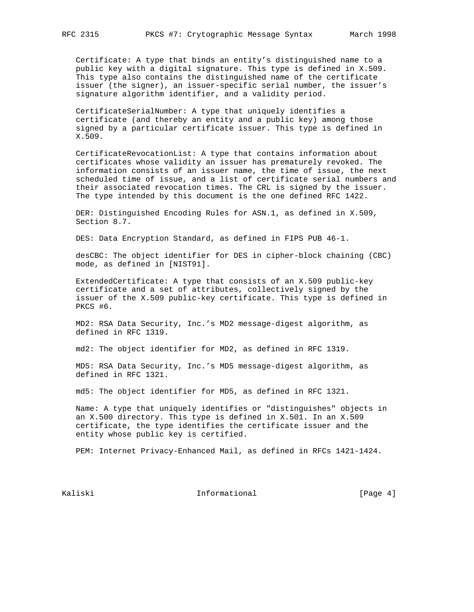Certificate: A type that binds an entity's distinguished name to a public key with a digital signature. This type is defined in X.509. This type also contains the distinguished name of the certificate issuer (the signer), an issuer-specific serial number, the issuer's signature algorithm identifier, and a validity period.

 CertificateSerialNumber: A type that uniquely identifies a certificate (and thereby an entity and a public key) among those signed by a particular certificate issuer. This type is defined in X.509.

 CertificateRevocationList: A type that contains information about certificates whose validity an issuer has prematurely revoked. The information consists of an issuer name, the time of issue, the next scheduled time of issue, and a list of certificate serial numbers and their associated revocation times. The CRL is signed by the issuer. The type intended by this document is the one defined RFC 1422.

 DER: Distinguished Encoding Rules for ASN.1, as defined in X.509, Section 8.7.

DES: Data Encryption Standard, as defined in FIPS PUB 46-1.

 desCBC: The object identifier for DES in cipher-block chaining (CBC) mode, as defined in [NIST91].

 ExtendedCertificate: A type that consists of an X.509 public-key certificate and a set of attributes, collectively signed by the issuer of the X.509 public-key certificate. This type is defined in PKCS #6.

 MD2: RSA Data Security, Inc.'s MD2 message-digest algorithm, as defined in RFC 1319.

md2: The object identifier for MD2, as defined in RFC 1319.

 MD5: RSA Data Security, Inc.'s MD5 message-digest algorithm, as defined in RFC 1321.

md5: The object identifier for MD5, as defined in RFC 1321.

 Name: A type that uniquely identifies or "distinguishes" objects in an X.500 directory. This type is defined in X.501. In an X.509 certificate, the type identifies the certificate issuer and the entity whose public key is certified.

PEM: Internet Privacy-Enhanced Mail, as defined in RFCs 1421-1424.

Kaliski 10. Informational 1996 [Page 4]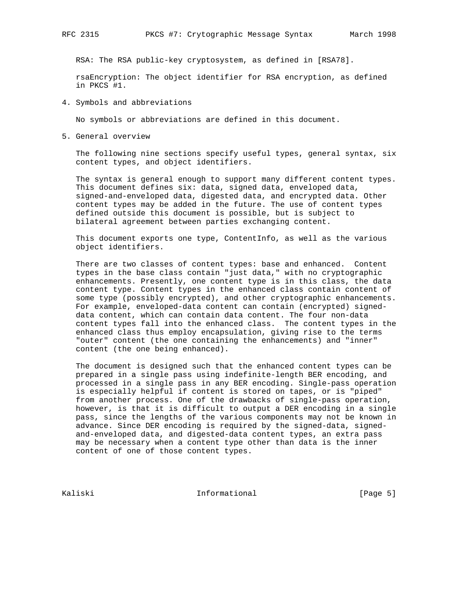RSA: The RSA public-key cryptosystem, as defined in [RSA78].

 rsaEncryption: The object identifier for RSA encryption, as defined in PKCS #1.

4. Symbols and abbreviations

No symbols or abbreviations are defined in this document.

5. General overview

 The following nine sections specify useful types, general syntax, six content types, and object identifiers.

 The syntax is general enough to support many different content types. This document defines six: data, signed data, enveloped data, signed-and-enveloped data, digested data, and encrypted data. Other content types may be added in the future. The use of content types defined outside this document is possible, but is subject to bilateral agreement between parties exchanging content.

 This document exports one type, ContentInfo, as well as the various object identifiers.

 There are two classes of content types: base and enhanced. Content types in the base class contain "just data," with no cryptographic enhancements. Presently, one content type is in this class, the data content type. Content types in the enhanced class contain content of some type (possibly encrypted), and other cryptographic enhancements. For example, enveloped-data content can contain (encrypted) signed data content, which can contain data content. The four non-data content types fall into the enhanced class. The content types in the enhanced class thus employ encapsulation, giving rise to the terms "outer" content (the one containing the enhancements) and "inner" content (the one being enhanced).

 The document is designed such that the enhanced content types can be prepared in a single pass using indefinite-length BER encoding, and processed in a single pass in any BER encoding. Single-pass operation is especially helpful if content is stored on tapes, or is "piped" from another process. One of the drawbacks of single-pass operation, however, is that it is difficult to output a DER encoding in a single pass, since the lengths of the various components may not be known in advance. Since DER encoding is required by the signed-data, signed and-enveloped data, and digested-data content types, an extra pass may be necessary when a content type other than data is the inner content of one of those content types.

Kaliski 10. Informational 1996 [Page 5]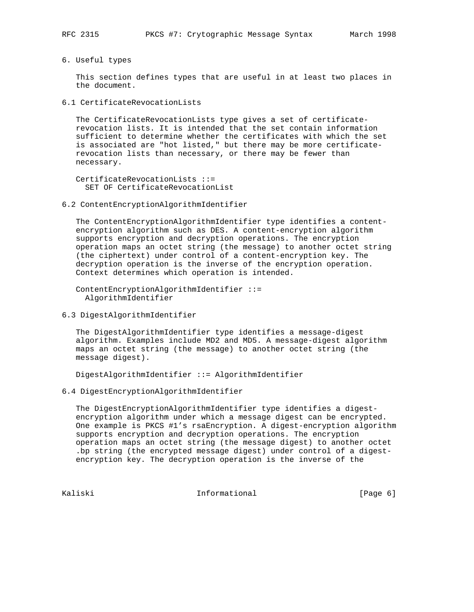6. Useful types

 This section defines types that are useful in at least two places in the document.

6.1 CertificateRevocationLists

 The CertificateRevocationLists type gives a set of certificate revocation lists. It is intended that the set contain information sufficient to determine whether the certificates with which the set is associated are "hot listed," but there may be more certificate revocation lists than necessary, or there may be fewer than necessary.

 CertificateRevocationLists ::= SET OF CertificateRevocationList

6.2 ContentEncryptionAlgorithmIdentifier

 The ContentEncryptionAlgorithmIdentifier type identifies a content encryption algorithm such as DES. A content-encryption algorithm supports encryption and decryption operations. The encryption operation maps an octet string (the message) to another octet string (the ciphertext) under control of a content-encryption key. The decryption operation is the inverse of the encryption operation. Context determines which operation is intended.

```
 ContentEncryptionAlgorithmIdentifier ::=
   AlgorithmIdentifier
```
6.3 DigestAlgorithmIdentifier

 The DigestAlgorithmIdentifier type identifies a message-digest algorithm. Examples include MD2 and MD5. A message-digest algorithm maps an octet string (the message) to another octet string (the message digest).

DigestAlgorithmIdentifier ::= AlgorithmIdentifier

6.4 DigestEncryptionAlgorithmIdentifier

 The DigestEncryptionAlgorithmIdentifier type identifies a digest encryption algorithm under which a message digest can be encrypted. One example is PKCS #1's rsaEncryption. A digest-encryption algorithm supports encryption and decryption operations. The encryption operation maps an octet string (the message digest) to another octet .bp string (the encrypted message digest) under control of a digest encryption key. The decryption operation is the inverse of the

Kaliski 10. Informational 1996 [Page 6]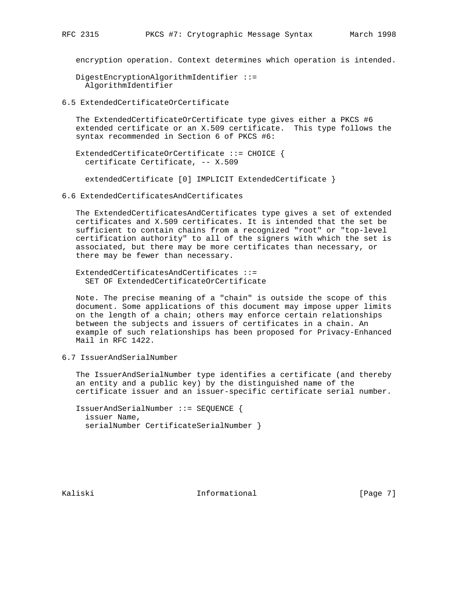encryption operation. Context determines which operation is intended.

 DigestEncryptionAlgorithmIdentifier ::= AlgorithmIdentifier

6.5 ExtendedCertificateOrCertificate

 The ExtendedCertificateOrCertificate type gives either a PKCS #6 extended certificate or an X.509 certificate. This type follows the syntax recommended in Section 6 of PKCS #6:

 ExtendedCertificateOrCertificate ::= CHOICE { certificate Certificate, -- X.509

extendedCertificate [0] IMPLICIT ExtendedCertificate }

6.6 ExtendedCertificatesAndCertificates

 The ExtendedCertificatesAndCertificates type gives a set of extended certificates and X.509 certificates. It is intended that the set be sufficient to contain chains from a recognized "root" or "top-level certification authority" to all of the signers with which the set is associated, but there may be more certificates than necessary, or there may be fewer than necessary.

 ExtendedCertificatesAndCertificates ::= SET OF ExtendedCertificateOrCertificate

 Note. The precise meaning of a "chain" is outside the scope of this document. Some applications of this document may impose upper limits on the length of a chain; others may enforce certain relationships between the subjects and issuers of certificates in a chain. An example of such relationships has been proposed for Privacy-Enhanced Mail in RFC 1422.

6.7 IssuerAndSerialNumber

 The IssuerAndSerialNumber type identifies a certificate (and thereby an entity and a public key) by the distinguished name of the certificate issuer and an issuer-specific certificate serial number.

 IssuerAndSerialNumber ::= SEQUENCE { issuer Name, serialNumber CertificateSerialNumber }

Kaliski 10. Informational 1996 [Page 7]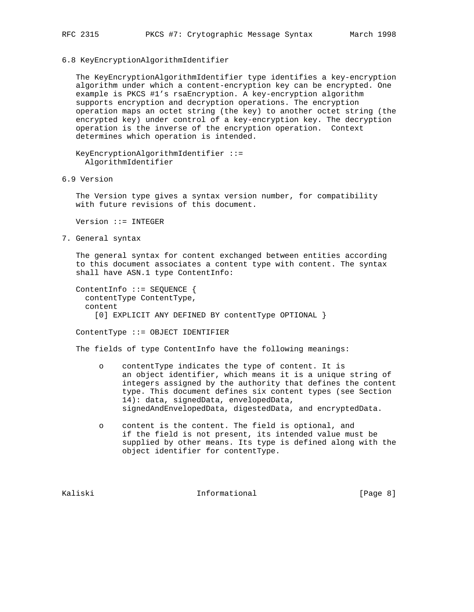6.8 KeyEncryptionAlgorithmIdentifier

 The KeyEncryptionAlgorithmIdentifier type identifies a key-encryption algorithm under which a content-encryption key can be encrypted. One example is PKCS #1's rsaEncryption. A key-encryption algorithm supports encryption and decryption operations. The encryption operation maps an octet string (the key) to another octet string (the encrypted key) under control of a key-encryption key. The decryption operation is the inverse of the encryption operation. Context determines which operation is intended.

 KeyEncryptionAlgorithmIdentifier ::= AlgorithmIdentifier

6.9 Version

 The Version type gives a syntax version number, for compatibility with future revisions of this document.

Version ::= INTEGER

7. General syntax

 The general syntax for content exchanged between entities according to this document associates a content type with content. The syntax shall have ASN.1 type ContentInfo:

 ContentInfo ::= SEQUENCE { contentType ContentType, content [0] EXPLICIT ANY DEFINED BY contentType OPTIONAL }

ContentType ::= OBJECT IDENTIFIER

The fields of type ContentInfo have the following meanings:

- o contentType indicates the type of content. It is an object identifier, which means it is a unique string of integers assigned by the authority that defines the content type. This document defines six content types (see Section 14): data, signedData, envelopedData, signedAndEnvelopedData, digestedData, and encryptedData.
- o content is the content. The field is optional, and if the field is not present, its intended value must be supplied by other means. Its type is defined along with the object identifier for contentType.

Kaliski 10. Informational 1996 (Page 8)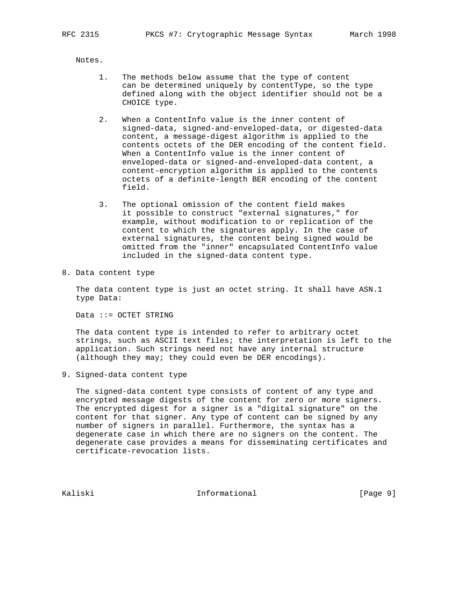Notes.

- 1. The methods below assume that the type of content can be determined uniquely by contentType, so the type defined along with the object identifier should not be a CHOICE type.
- 2. When a ContentInfo value is the inner content of signed-data, signed-and-enveloped-data, or digested-data content, a message-digest algorithm is applied to the contents octets of the DER encoding of the content field. When a ContentInfo value is the inner content of enveloped-data or signed-and-enveloped-data content, a content-encryption algorithm is applied to the contents octets of a definite-length BER encoding of the content field.
- 3. The optional omission of the content field makes it possible to construct "external signatures," for example, without modification to or replication of the content to which the signatures apply. In the case of external signatures, the content being signed would be omitted from the "inner" encapsulated ContentInfo value included in the signed-data content type.
- 8. Data content type

 The data content type is just an octet string. It shall have ASN.1 type Data:

Data ::= OCTET STRING

 The data content type is intended to refer to arbitrary octet strings, such as ASCII text files; the interpretation is left to the application. Such strings need not have any internal structure (although they may; they could even be DER encodings).

9. Signed-data content type

 The signed-data content type consists of content of any type and encrypted message digests of the content for zero or more signers. The encrypted digest for a signer is a "digital signature" on the content for that signer. Any type of content can be signed by any number of signers in parallel. Furthermore, the syntax has a degenerate case in which there are no signers on the content. The degenerate case provides a means for disseminating certificates and certificate-revocation lists.

Kaliski 10. Informational 1999 [Page 9]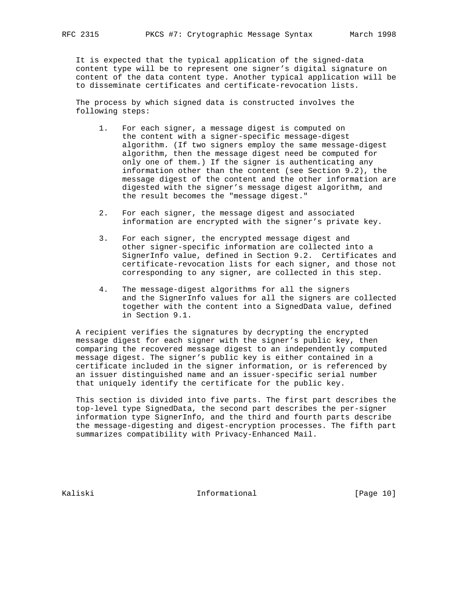It is expected that the typical application of the signed-data content type will be to represent one signer's digital signature on content of the data content type. Another typical application will be to disseminate certificates and certificate-revocation lists.

 The process by which signed data is constructed involves the following steps:

- 1. For each signer, a message digest is computed on the content with a signer-specific message-digest algorithm. (If two signers employ the same message-digest algorithm, then the message digest need be computed for only one of them.) If the signer is authenticating any information other than the content (see Section 9.2), the message digest of the content and the other information are digested with the signer's message digest algorithm, and the result becomes the "message digest."
- 2. For each signer, the message digest and associated information are encrypted with the signer's private key.
- 3. For each signer, the encrypted message digest and other signer-specific information are collected into a SignerInfo value, defined in Section 9.2. Certificates and certificate-revocation lists for each signer, and those not corresponding to any signer, are collected in this step.
- 4. The message-digest algorithms for all the signers and the SignerInfo values for all the signers are collected together with the content into a SignedData value, defined in Section 9.1.

 A recipient verifies the signatures by decrypting the encrypted message digest for each signer with the signer's public key, then comparing the recovered message digest to an independently computed message digest. The signer's public key is either contained in a certificate included in the signer information, or is referenced by an issuer distinguished name and an issuer-specific serial number that uniquely identify the certificate for the public key.

 This section is divided into five parts. The first part describes the top-level type SignedData, the second part describes the per-signer information type SignerInfo, and the third and fourth parts describe the message-digesting and digest-encryption processes. The fifth part summarizes compatibility with Privacy-Enhanced Mail.

Kaliski 10 Informational [Page 10]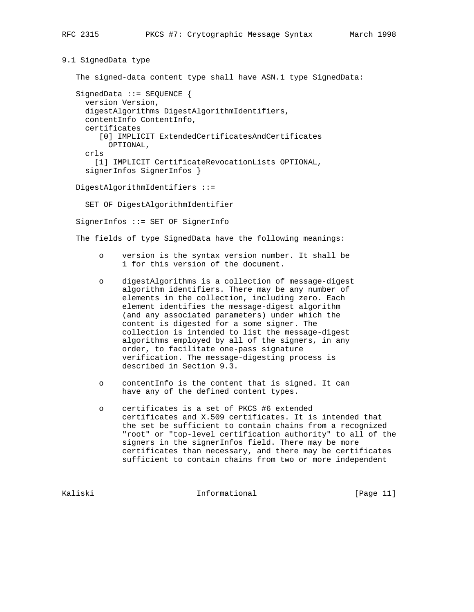9.1 SignedData type

The signed-data content type shall have ASN.1 type SignedData:

 SignedData ::= SEQUENCE { version Version, digestAlgorithms DigestAlgorithmIdentifiers, contentInfo ContentInfo, certificates [0] IMPLICIT ExtendedCertificatesAndCertificates OPTIONAL, crls [1] IMPLICIT CertificateRevocationLists OPTIONAL, signerInfos SignerInfos }

DigestAlgorithmIdentifiers ::=

SET OF DigestAlgorithmIdentifier

SignerInfos ::= SET OF SignerInfo

The fields of type SignedData have the following meanings:

- o version is the syntax version number. It shall be 1 for this version of the document.
- o digestAlgorithms is a collection of message-digest algorithm identifiers. There may be any number of elements in the collection, including zero. Each element identifies the message-digest algorithm (and any associated parameters) under which the content is digested for a some signer. The collection is intended to list the message-digest algorithms employed by all of the signers, in any order, to facilitate one-pass signature verification. The message-digesting process is described in Section 9.3.
- o contentInfo is the content that is signed. It can have any of the defined content types.
- o certificates is a set of PKCS #6 extended certificates and X.509 certificates. It is intended that the set be sufficient to contain chains from a recognized "root" or "top-level certification authority" to all of the signers in the signerInfos field. There may be more certificates than necessary, and there may be certificates sufficient to contain chains from two or more independent

Kaliski 10. Informational [Page 11]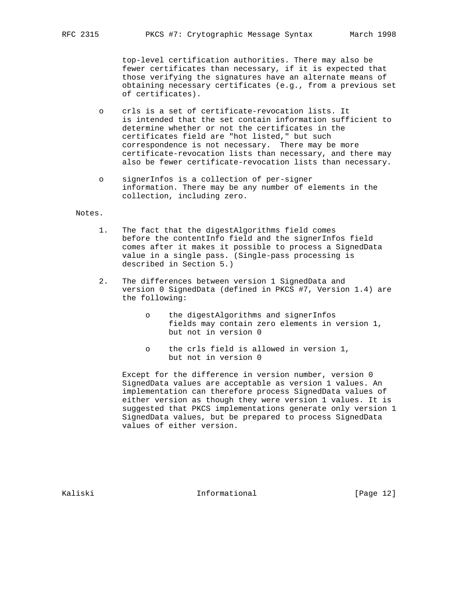top-level certification authorities. There may also be fewer certificates than necessary, if it is expected that those verifying the signatures have an alternate means of obtaining necessary certificates (e.g., from a previous set of certificates).

- o crls is a set of certificate-revocation lists. It is intended that the set contain information sufficient to determine whether or not the certificates in the certificates field are "hot listed," but such correspondence is not necessary. There may be more certificate-revocation lists than necessary, and there may also be fewer certificate-revocation lists than necessary.
- o signerInfos is a collection of per-signer information. There may be any number of elements in the collection, including zero.

#### Notes.

- 1. The fact that the digestAlgorithms field comes before the contentInfo field and the signerInfos field comes after it makes it possible to process a SignedData value in a single pass. (Single-pass processing is described in Section 5.)
- 2. The differences between version 1 SignedData and version 0 SignedData (defined in PKCS #7, Version 1.4) are the following:
	- o the digestAlgorithms and signerInfos fields may contain zero elements in version 1, but not in version 0
	- o the crls field is allowed in version 1, but not in version 0

 Except for the difference in version number, version 0 SignedData values are acceptable as version 1 values. An implementation can therefore process SignedData values of either version as though they were version 1 values. It is suggested that PKCS implementations generate only version 1 SignedData values, but be prepared to process SignedData values of either version.

Kaliski 1nformational [Page 12]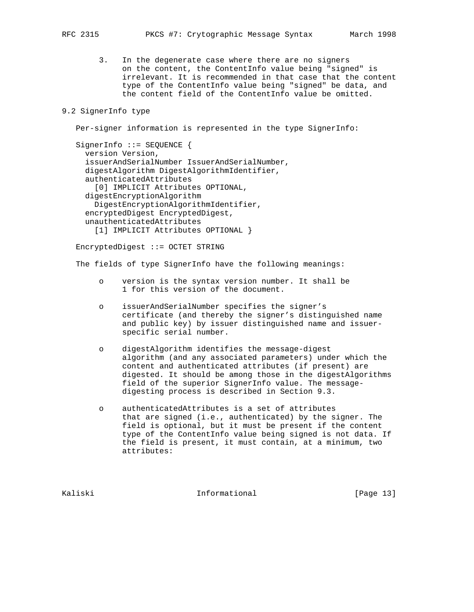3. In the degenerate case where there are no signers on the content, the ContentInfo value being "signed" is irrelevant. It is recommended in that case that the content type of the ContentInfo value being "signed" be data, and the content field of the ContentInfo value be omitted.

# 9.2 SignerInfo type

Per-signer information is represented in the type SignerInfo:

SignerInfo ::= SEQUENCE { version Version, issuerAndSerialNumber IssuerAndSerialNumber, digestAlgorithm DigestAlgorithmIdentifier, authenticatedAttributes [0] IMPLICIT Attributes OPTIONAL, digestEncryptionAlgorithm DigestEncryptionAlgorithmIdentifier, encryptedDigest EncryptedDigest, unauthenticatedAttributes [1] IMPLICIT Attributes OPTIONAL }

EncryptedDigest ::= OCTET STRING

The fields of type SignerInfo have the following meanings:

- o version is the syntax version number. It shall be 1 for this version of the document.
- o issuerAndSerialNumber specifies the signer's certificate (and thereby the signer's distinguished name and public key) by issuer distinguished name and issuer specific serial number.
- o digestAlgorithm identifies the message-digest algorithm (and any associated parameters) under which the content and authenticated attributes (if present) are digested. It should be among those in the digestAlgorithms field of the superior SignerInfo value. The message digesting process is described in Section 9.3.
- o authenticatedAttributes is a set of attributes that are signed (i.e., authenticated) by the signer. The field is optional, but it must be present if the content type of the ContentInfo value being signed is not data. If the field is present, it must contain, at a minimum, two attributes:

Kaliski 10 Informational [Page 13]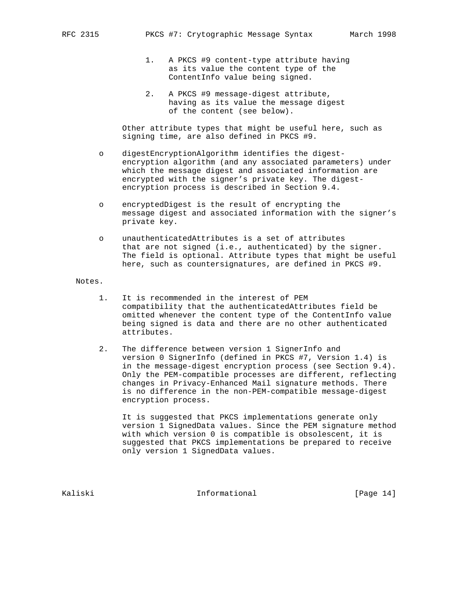- 1. A PKCS #9 content-type attribute having as its value the content type of the ContentInfo value being signed.
- 2. A PKCS #9 message-digest attribute, having as its value the message digest of the content (see below).

 Other attribute types that might be useful here, such as signing time, are also defined in PKCS #9.

- o digestEncryptionAlgorithm identifies the digest encryption algorithm (and any associated parameters) under which the message digest and associated information are encrypted with the signer's private key. The digest encryption process is described in Section 9.4.
- o encryptedDigest is the result of encrypting the message digest and associated information with the signer's private key.
- o unauthenticatedAttributes is a set of attributes that are not signed (i.e., authenticated) by the signer. The field is optional. Attribute types that might be useful here, such as countersignatures, are defined in PKCS #9.

#### Notes.

- 1. It is recommended in the interest of PEM compatibility that the authenticatedAttributes field be omitted whenever the content type of the ContentInfo value being signed is data and there are no other authenticated attributes.
- 2. The difference between version 1 SignerInfo and version 0 SignerInfo (defined in PKCS #7, Version 1.4) is in the message-digest encryption process (see Section 9.4). Only the PEM-compatible processes are different, reflecting changes in Privacy-Enhanced Mail signature methods. There is no difference in the non-PEM-compatible message-digest encryption process.

 It is suggested that PKCS implementations generate only version 1 SignedData values. Since the PEM signature method with which version 0 is compatible is obsolescent, it is suggested that PKCS implementations be prepared to receive only version 1 SignedData values.

Kaliski 10. Informational [Page 14]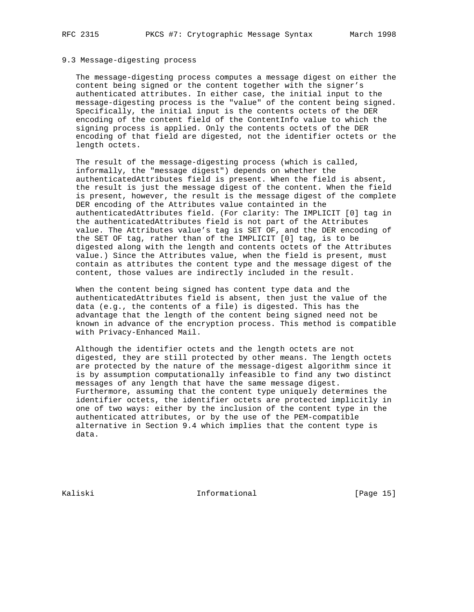## 9.3 Message-digesting process

 The message-digesting process computes a message digest on either the content being signed or the content together with the signer's authenticated attributes. In either case, the initial input to the message-digesting process is the "value" of the content being signed. Specifically, the initial input is the contents octets of the DER encoding of the content field of the ContentInfo value to which the signing process is applied. Only the contents octets of the DER encoding of that field are digested, not the identifier octets or the length octets.

 The result of the message-digesting process (which is called, informally, the "message digest") depends on whether the authenticatedAttributes field is present. When the field is absent, the result is just the message digest of the content. When the field is present, however, the result is the message digest of the complete DER encoding of the Attributes value containted in the authenticatedAttributes field. (For clarity: The IMPLICIT [0] tag in the authenticatedAttributes field is not part of the Attributes value. The Attributes value's tag is SET OF, and the DER encoding of the SET OF tag, rather than of the IMPLICIT [0] tag, is to be digested along with the length and contents octets of the Attributes value.) Since the Attributes value, when the field is present, must contain as attributes the content type and the message digest of the content, those values are indirectly included in the result.

 When the content being signed has content type data and the authenticatedAttributes field is absent, then just the value of the data (e.g., the contents of a file) is digested. This has the advantage that the length of the content being signed need not be known in advance of the encryption process. This method is compatible with Privacy-Enhanced Mail.

 Although the identifier octets and the length octets are not digested, they are still protected by other means. The length octets are protected by the nature of the message-digest algorithm since it is by assumption computationally infeasible to find any two distinct messages of any length that have the same message digest. Furthermore, assuming that the content type uniquely determines the identifier octets, the identifier octets are protected implicitly in one of two ways: either by the inclusion of the content type in the authenticated attributes, or by the use of the PEM-compatible alternative in Section 9.4 which implies that the content type is data.

Kaliski 10. Informational [Page 15]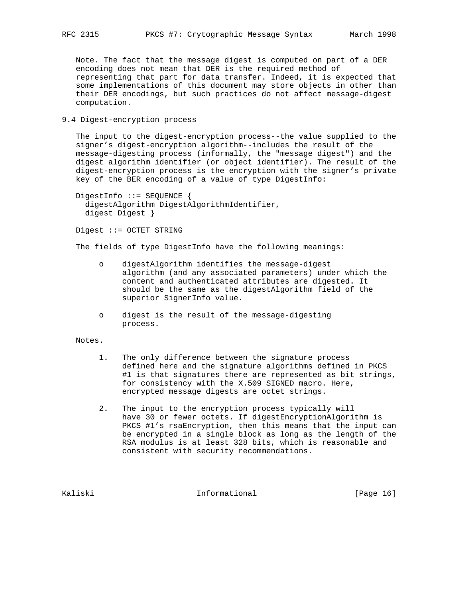Note. The fact that the message digest is computed on part of a DER encoding does not mean that DER is the required method of representing that part for data transfer. Indeed, it is expected that some implementations of this document may store objects in other than their DER encodings, but such practices do not affect message-digest computation.

## 9.4 Digest-encryption process

 The input to the digest-encryption process--the value supplied to the signer's digest-encryption algorithm--includes the result of the message-digesting process (informally, the "message digest") and the digest algorithm identifier (or object identifier). The result of the digest-encryption process is the encryption with the signer's private key of the BER encoding of a value of type DigestInfo:

 DigestInfo ::= SEQUENCE { digestAlgorithm DigestAlgorithmIdentifier, digest Digest }

Digest ::= OCTET STRING

The fields of type DigestInfo have the following meanings:

- o digestAlgorithm identifies the message-digest algorithm (and any associated parameters) under which the content and authenticated attributes are digested. It should be the same as the digestAlgorithm field of the superior SignerInfo value.
- o digest is the result of the message-digesting process.

Notes.

- 1. The only difference between the signature process defined here and the signature algorithms defined in PKCS #1 is that signatures there are represented as bit strings, for consistency with the X.509 SIGNED macro. Here, encrypted message digests are octet strings.
- 2. The input to the encryption process typically will have 30 or fewer octets. If digestEncryptionAlgorithm is PKCS #1's rsaEncryption, then this means that the input can be encrypted in a single block as long as the length of the RSA modulus is at least 328 bits, which is reasonable and consistent with security recommendations.

Kaliski 10 Informational [Page 16]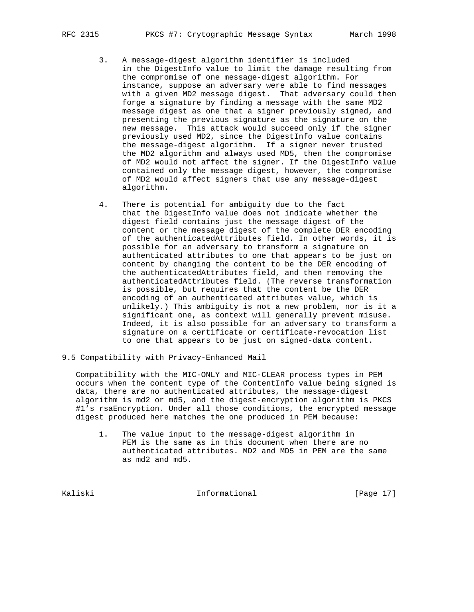- 3. A message-digest algorithm identifier is included in the DigestInfo value to limit the damage resulting from the compromise of one message-digest algorithm. For instance, suppose an adversary were able to find messages with a given MD2 message digest. That adversary could then forge a signature by finding a message with the same MD2 message digest as one that a signer previously signed, and presenting the previous signature as the signature on the new message. This attack would succeed only if the signer previously used MD2, since the DigestInfo value contains the message-digest algorithm. If a signer never trusted the MD2 algorithm and always used MD5, then the compromise of MD2 would not affect the signer. If the DigestInfo value contained only the message digest, however, the compromise of MD2 would affect signers that use any message-digest algorithm.
- 4. There is potential for ambiguity due to the fact that the DigestInfo value does not indicate whether the digest field contains just the message digest of the content or the message digest of the complete DER encoding of the authenticatedAttributes field. In other words, it is possible for an adversary to transform a signature on authenticated attributes to one that appears to be just on content by changing the content to be the DER encoding of the authenticatedAttributes field, and then removing the authenticatedAttributes field. (The reverse transformation is possible, but requires that the content be the DER encoding of an authenticated attributes value, which is unlikely.) This ambiguity is not a new problem, nor is it a significant one, as context will generally prevent misuse. Indeed, it is also possible for an adversary to transform a signature on a certificate or certificate-revocation list to one that appears to be just on signed-data content.
- 9.5 Compatibility with Privacy-Enhanced Mail

 Compatibility with the MIC-ONLY and MIC-CLEAR process types in PEM occurs when the content type of the ContentInfo value being signed is data, there are no authenticated attributes, the message-digest algorithm is md2 or md5, and the digest-encryption algorithm is PKCS #1's rsaEncryption. Under all those conditions, the encrypted message digest produced here matches the one produced in PEM because:

 1. The value input to the message-digest algorithm in PEM is the same as in this document when there are no authenticated attributes. MD2 and MD5 in PEM are the same as md2 and md5.

Kaliski 10. Informational 1996 [Page 17]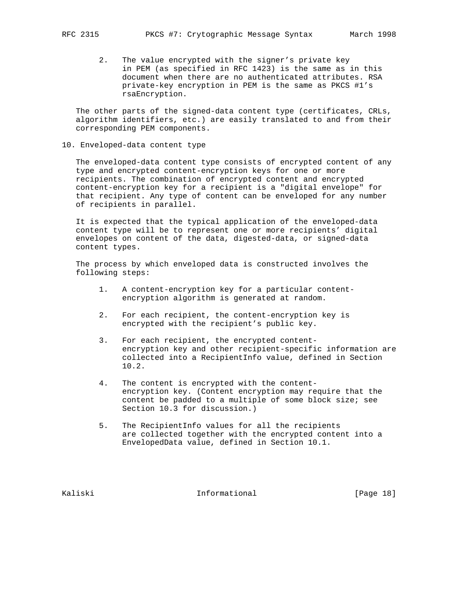2. The value encrypted with the signer's private key in PEM (as specified in RFC 1423) is the same as in this document when there are no authenticated attributes. RSA private-key encryption in PEM is the same as PKCS #1's rsaEncryption.

 The other parts of the signed-data content type (certificates, CRLs, algorithm identifiers, etc.) are easily translated to and from their corresponding PEM components.

10. Enveloped-data content type

 The enveloped-data content type consists of encrypted content of any type and encrypted content-encryption keys for one or more recipients. The combination of encrypted content and encrypted content-encryption key for a recipient is a "digital envelope" for that recipient. Any type of content can be enveloped for any number of recipients in parallel.

 It is expected that the typical application of the enveloped-data content type will be to represent one or more recipients' digital envelopes on content of the data, digested-data, or signed-data content types.

 The process by which enveloped data is constructed involves the following steps:

- 1. A content-encryption key for a particular content encryption algorithm is generated at random.
- 2. For each recipient, the content-encryption key is encrypted with the recipient's public key.
- 3. For each recipient, the encrypted content encryption key and other recipient-specific information are collected into a RecipientInfo value, defined in Section 10.2.
- 4. The content is encrypted with the content encryption key. (Content encryption may require that the content be padded to a multiple of some block size; see Section 10.3 for discussion.)
- 5. The RecipientInfo values for all the recipients are collected together with the encrypted content into a EnvelopedData value, defined in Section 10.1.

Kaliski 10. Informational [Page 18]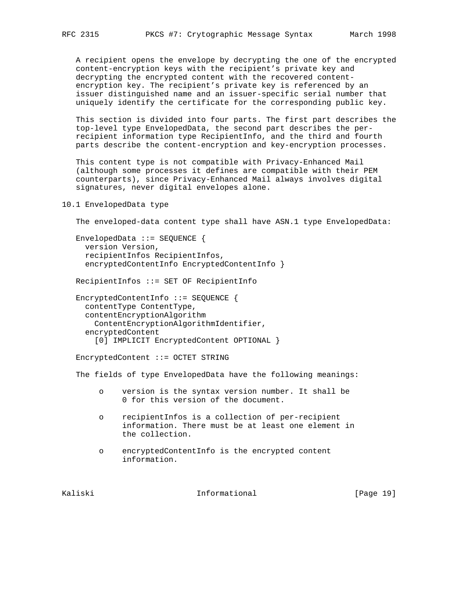A recipient opens the envelope by decrypting the one of the encrypted content-encryption keys with the recipient's private key and decrypting the encrypted content with the recovered content encryption key. The recipient's private key is referenced by an issuer distinguished name and an issuer-specific serial number that uniquely identify the certificate for the corresponding public key.

 This section is divided into four parts. The first part describes the top-level type EnvelopedData, the second part describes the per recipient information type RecipientInfo, and the third and fourth parts describe the content-encryption and key-encryption processes.

 This content type is not compatible with Privacy-Enhanced Mail (although some processes it defines are compatible with their PEM counterparts), since Privacy-Enhanced Mail always involves digital signatures, never digital envelopes alone.

## 10.1 EnvelopedData type

The enveloped-data content type shall have ASN.1 type EnvelopedData:

 EnvelopedData ::= SEQUENCE { version Version, recipientInfos RecipientInfos, encryptedContentInfo EncryptedContentInfo }

RecipientInfos ::= SET OF RecipientInfo

 EncryptedContentInfo ::= SEQUENCE { contentType ContentType, contentEncryptionAlgorithm ContentEncryptionAlgorithmIdentifier, encryptedContent [0] IMPLICIT EncryptedContent OPTIONAL }

EncryptedContent ::= OCTET STRING

The fields of type EnvelopedData have the following meanings:

- o version is the syntax version number. It shall be 0 for this version of the document.
- o recipientInfos is a collection of per-recipient information. There must be at least one element in the collection.
- o encryptedContentInfo is the encrypted content information.

Kaliski 10. Informational [Page 19]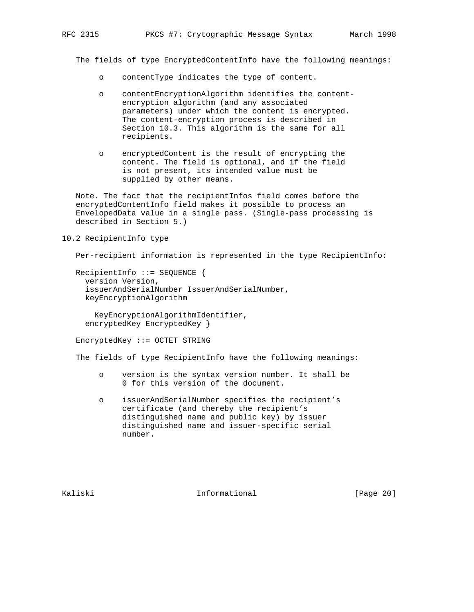The fields of type EncryptedContentInfo have the following meanings:

- o contentType indicates the type of content.
- o contentEncryptionAlgorithm identifies the content encryption algorithm (and any associated parameters) under which the content is encrypted. The content-encryption process is described in Section 10.3. This algorithm is the same for all recipients.
- o encryptedContent is the result of encrypting the content. The field is optional, and if the field is not present, its intended value must be supplied by other means.

 Note. The fact that the recipientInfos field comes before the encryptedContentInfo field makes it possible to process an EnvelopedData value in a single pass. (Single-pass processing is described in Section 5.)

## 10.2 RecipientInfo type

Per-recipient information is represented in the type RecipientInfo:

```
 RecipientInfo ::= SEQUENCE {
  version Version,
   issuerAndSerialNumber IssuerAndSerialNumber,
  keyEncryptionAlgorithm
```
 KeyEncryptionAlgorithmIdentifier, encryptedKey EncryptedKey }

EncryptedKey ::= OCTET STRING

The fields of type RecipientInfo have the following meanings:

- o version is the syntax version number. It shall be 0 for this version of the document.
- o issuerAndSerialNumber specifies the recipient's certificate (and thereby the recipient's distinguished name and public key) by issuer distinguished name and issuer-specific serial number.

Kaliski 10 Informational [Page 20]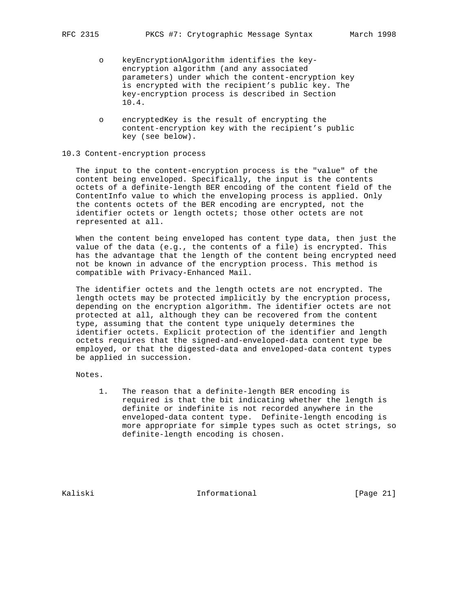- o keyEncryptionAlgorithm identifies the key encryption algorithm (and any associated parameters) under which the content-encryption key is encrypted with the recipient's public key. The key-encryption process is described in Section 10.4.
- o encryptedKey is the result of encrypting the content-encryption key with the recipient's public key (see below).

#### 10.3 Content-encryption process

 The input to the content-encryption process is the "value" of the content being enveloped. Specifically, the input is the contents octets of a definite-length BER encoding of the content field of the ContentInfo value to which the enveloping process is applied. Only the contents octets of the BER encoding are encrypted, not the identifier octets or length octets; those other octets are not represented at all.

 When the content being enveloped has content type data, then just the value of the data (e.g., the contents of a file) is encrypted. This has the advantage that the length of the content being encrypted need not be known in advance of the encryption process. This method is compatible with Privacy-Enhanced Mail.

 The identifier octets and the length octets are not encrypted. The length octets may be protected implicitly by the encryption process, depending on the encryption algorithm. The identifier octets are not protected at all, although they can be recovered from the content type, assuming that the content type uniquely determines the identifier octets. Explicit protection of the identifier and length octets requires that the signed-and-enveloped-data content type be employed, or that the digested-data and enveloped-data content types be applied in succession.

Notes.

 1. The reason that a definite-length BER encoding is required is that the bit indicating whether the length is definite or indefinite is not recorded anywhere in the enveloped-data content type. Definite-length encoding is more appropriate for simple types such as octet strings, so definite-length encoding is chosen.

Kaliski 10. Informational [Page 21]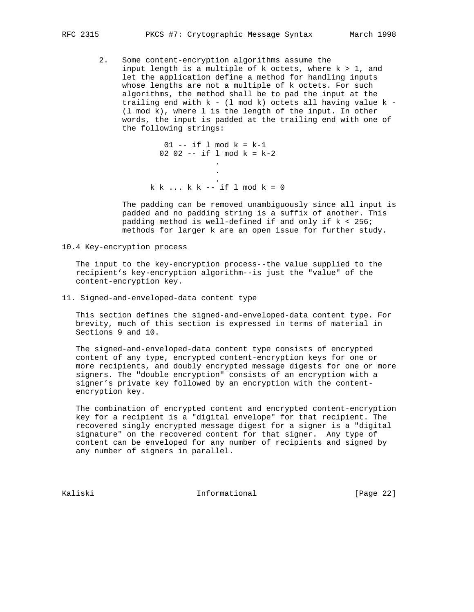2. Some content-encryption algorithms assume the input length is a multiple of  $k$  octets, where  $k > 1$ , and let the application define a method for handling inputs whose lengths are not a multiple of k octets. For such algorithms, the method shall be to pad the input at the trailing end with k - (l mod k) octets all having value k - (l mod k), where l is the length of the input. In other words, the input is padded at the trailing end with one of the following strings:

 $01$  -- if 1 mod  $k = k-1$ 02 02 -- if  $1 \mod k = k-2$ **.** The contract of the contract of the contract of the contract of the contract of the contract of the contract of **.** The contract of the contract of the contract of the contract of the contract of the contract of the contract of . k k ... k k -- if l mod k = 0

> The padding can be removed unambiguously since all input is padded and no padding string is a suffix of another. This padding method is well-defined if and only if k < 256; methods for larger k are an open issue for further study.

10.4 Key-encryption process

 The input to the key-encryption process--the value supplied to the recipient's key-encryption algorithm--is just the "value" of the content-encryption key.

11. Signed-and-enveloped-data content type

 This section defines the signed-and-enveloped-data content type. For brevity, much of this section is expressed in terms of material in Sections 9 and 10.

 The signed-and-enveloped-data content type consists of encrypted content of any type, encrypted content-encryption keys for one or more recipients, and doubly encrypted message digests for one or more signers. The "double encryption" consists of an encryption with a signer's private key followed by an encryption with the content encryption key.

 The combination of encrypted content and encrypted content-encryption key for a recipient is a "digital envelope" for that recipient. The recovered singly encrypted message digest for a signer is a "digital signature" on the recovered content for that signer. Any type of content can be enveloped for any number of recipients and signed by any number of signers in parallel.

Kaliski 10. Informational [Page 22]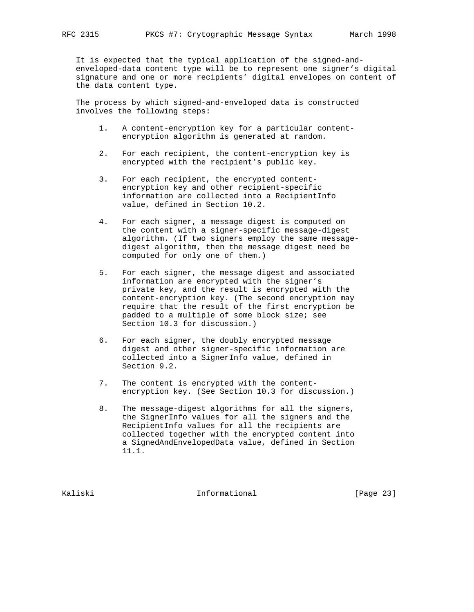It is expected that the typical application of the signed-and enveloped-data content type will be to represent one signer's digital signature and one or more recipients' digital envelopes on content of the data content type.

 The process by which signed-and-enveloped data is constructed involves the following steps:

- 1. A content-encryption key for a particular content encryption algorithm is generated at random.
- 2. For each recipient, the content-encryption key is encrypted with the recipient's public key.
- 3. For each recipient, the encrypted content encryption key and other recipient-specific information are collected into a RecipientInfo value, defined in Section 10.2.
- 4. For each signer, a message digest is computed on the content with a signer-specific message-digest algorithm. (If two signers employ the same message digest algorithm, then the message digest need be computed for only one of them.)
- 5. For each signer, the message digest and associated information are encrypted with the signer's private key, and the result is encrypted with the content-encryption key. (The second encryption may require that the result of the first encryption be padded to a multiple of some block size; see Section 10.3 for discussion.)
- 6. For each signer, the doubly encrypted message digest and other signer-specific information are collected into a SignerInfo value, defined in Section 9.2.
- 7. The content is encrypted with the content encryption key. (See Section 10.3 for discussion.)
- 8. The message-digest algorithms for all the signers, the SignerInfo values for all the signers and the RecipientInfo values for all the recipients are collected together with the encrypted content into a SignedAndEnvelopedData value, defined in Section 11.1.

Kaliski 10 Informational [Page 23]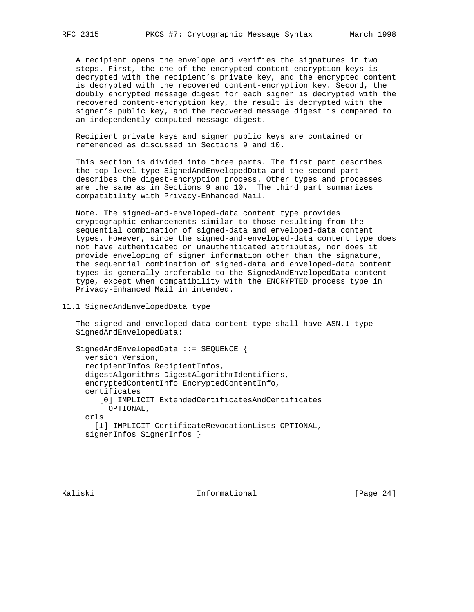A recipient opens the envelope and verifies the signatures in two steps. First, the one of the encrypted content-encryption keys is decrypted with the recipient's private key, and the encrypted content is decrypted with the recovered content-encryption key. Second, the doubly encrypted message digest for each signer is decrypted with the recovered content-encryption key, the result is decrypted with the signer's public key, and the recovered message digest is compared to an independently computed message digest.

 Recipient private keys and signer public keys are contained or referenced as discussed in Sections 9 and 10.

 This section is divided into three parts. The first part describes the top-level type SignedAndEnvelopedData and the second part describes the digest-encryption process. Other types and processes are the same as in Sections 9 and 10. The third part summarizes compatibility with Privacy-Enhanced Mail.

 Note. The signed-and-enveloped-data content type provides cryptographic enhancements similar to those resulting from the sequential combination of signed-data and enveloped-data content types. However, since the signed-and-enveloped-data content type does not have authenticated or unauthenticated attributes, nor does it provide enveloping of signer information other than the signature, the sequential combination of signed-data and enveloped-data content types is generally preferable to the SignedAndEnvelopedData content type, except when compatibility with the ENCRYPTED process type in Privacy-Enhanced Mail in intended.

11.1 SignedAndEnvelopedData type

 The signed-and-enveloped-data content type shall have ASN.1 type SignedAndEnvelopedData:

```
 SignedAndEnvelopedData ::= SEQUENCE {
  version Version,
  recipientInfos RecipientInfos,
  digestAlgorithms DigestAlgorithmIdentifiers,
   encryptedContentInfo EncryptedContentInfo,
  certificates
     [0] IMPLICIT ExtendedCertificatesAndCertificates
       OPTIONAL,
  crls
     [1] IMPLICIT CertificateRevocationLists OPTIONAL,
   signerInfos SignerInfos }
```
Kaliski 10 Informational [Page 24]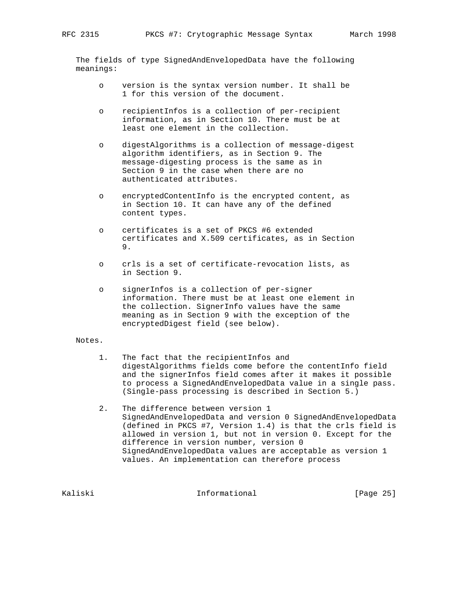The fields of type SignedAndEnvelopedData have the following meanings:

- o version is the syntax version number. It shall be 1 for this version of the document.
- o recipientInfos is a collection of per-recipient information, as in Section 10. There must be at least one element in the collection.
- o digestAlgorithms is a collection of message-digest algorithm identifiers, as in Section 9. The message-digesting process is the same as in Section 9 in the case when there are no authenticated attributes.
- o encryptedContentInfo is the encrypted content, as in Section 10. It can have any of the defined content types.
- o certificates is a set of PKCS #6 extended certificates and X.509 certificates, as in Section 9.
- o crls is a set of certificate-revocation lists, as in Section 9.
- o signerInfos is a collection of per-signer information. There must be at least one element in the collection. SignerInfo values have the same meaning as in Section 9 with the exception of the encryptedDigest field (see below).

## Notes.

- 1. The fact that the recipientInfos and digestAlgorithms fields come before the contentInfo field and the signerInfos field comes after it makes it possible to process a SignedAndEnvelopedData value in a single pass. (Single-pass processing is described in Section 5.)
- 2. The difference between version 1 SignedAndEnvelopedData and version 0 SignedAndEnvelopedData (defined in PKCS #7, Version 1.4) is that the crls field is allowed in version 1, but not in version 0. Except for the difference in version number, version 0 SignedAndEnvelopedData values are acceptable as version 1 values. An implementation can therefore process

Kaliski 10. Informational [Page 25]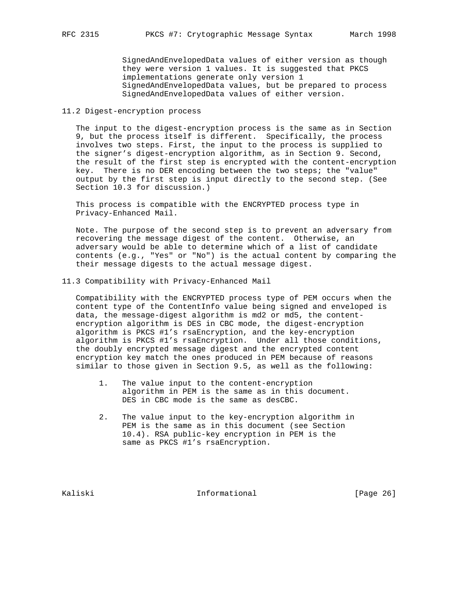SignedAndEnvelopedData values of either version as though they were version 1 values. It is suggested that PKCS implementations generate only version 1 SignedAndEnvelopedData values, but be prepared to process SignedAndEnvelopedData values of either version.

## 11.2 Digest-encryption process

 The input to the digest-encryption process is the same as in Section 9, but the process itself is different. Specifically, the process involves two steps. First, the input to the process is supplied to the signer's digest-encryption algorithm, as in Section 9. Second, the result of the first step is encrypted with the content-encryption key. There is no DER encoding between the two steps; the "value" output by the first step is input directly to the second step. (See Section 10.3 for discussion.)

 This process is compatible with the ENCRYPTED process type in Privacy-Enhanced Mail.

 Note. The purpose of the second step is to prevent an adversary from recovering the message digest of the content. Otherwise, an adversary would be able to determine which of a list of candidate contents (e.g., "Yes" or "No") is the actual content by comparing the their message digests to the actual message digest.

11.3 Compatibility with Privacy-Enhanced Mail

 Compatibility with the ENCRYPTED process type of PEM occurs when the content type of the ContentInfo value being signed and enveloped is data, the message-digest algorithm is md2 or md5, the content encryption algorithm is DES in CBC mode, the digest-encryption algorithm is PKCS #1's rsaEncryption, and the key-encryption algorithm is PKCS #1's rsaEncryption. Under all those conditions, the doubly encrypted message digest and the encrypted content encryption key match the ones produced in PEM because of reasons similar to those given in Section 9.5, as well as the following:

- 1. The value input to the content-encryption algorithm in PEM is the same as in this document. DES in CBC mode is the same as desCBC.
- 2. The value input to the key-encryption algorithm in PEM is the same as in this document (see Section 10.4). RSA public-key encryption in PEM is the same as PKCS #1's rsaEncryption.

Kaliski 10 Informational [Page 26]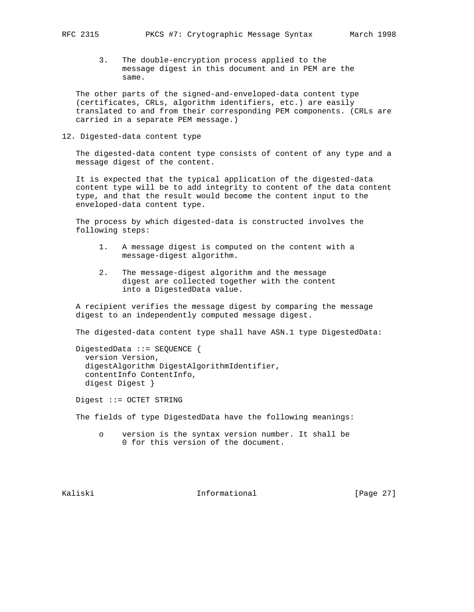- - 3. The double-encryption process applied to the message digest in this document and in PEM are the same.

 The other parts of the signed-and-enveloped-data content type (certificates, CRLs, algorithm identifiers, etc.) are easily translated to and from their corresponding PEM components. (CRLs are carried in a separate PEM message.)

12. Digested-data content type

 The digested-data content type consists of content of any type and a message digest of the content.

 It is expected that the typical application of the digested-data content type will be to add integrity to content of the data content type, and that the result would become the content input to the enveloped-data content type.

 The process by which digested-data is constructed involves the following steps:

- 1. A message digest is computed on the content with a message-digest algorithm.
- 2. The message-digest algorithm and the message digest are collected together with the content into a DigestedData value.

 A recipient verifies the message digest by comparing the message digest to an independently computed message digest.

The digested-data content type shall have ASN.1 type DigestedData:

 DigestedData ::= SEQUENCE { version Version, digestAlgorithm DigestAlgorithmIdentifier, contentInfo ContentInfo, digest Digest }

Digest ::= OCTET STRING

The fields of type DigestedData have the following meanings:

 o version is the syntax version number. It shall be 0 for this version of the document.

Kaliski 10. Informational [Page 27]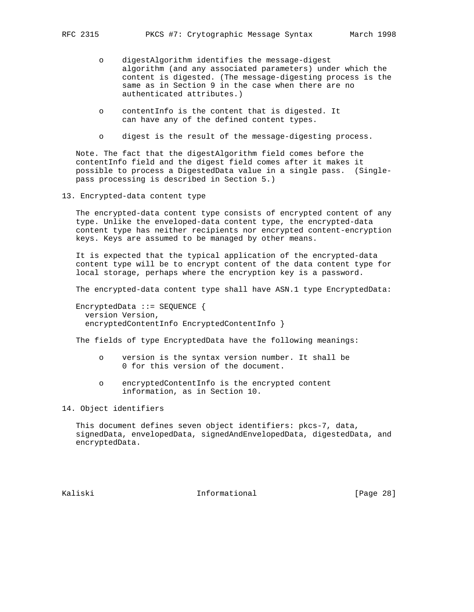- o digestAlgorithm identifies the message-digest algorithm (and any associated parameters) under which the content is digested. (The message-digesting process is the same as in Section 9 in the case when there are no authenticated attributes.)
- o contentInfo is the content that is digested. It can have any of the defined content types.
- o digest is the result of the message-digesting process.

 Note. The fact that the digestAlgorithm field comes before the contentInfo field and the digest field comes after it makes it possible to process a DigestedData value in a single pass. (Single pass processing is described in Section 5.)

13. Encrypted-data content type

 The encrypted-data content type consists of encrypted content of any type. Unlike the enveloped-data content type, the encrypted-data content type has neither recipients nor encrypted content-encryption keys. Keys are assumed to be managed by other means.

 It is expected that the typical application of the encrypted-data content type will be to encrypt content of the data content type for local storage, perhaps where the encryption key is a password.

The encrypted-data content type shall have ASN.1 type EncryptedData:

 EncryptedData ::= SEQUENCE { version Version, encryptedContentInfo EncryptedContentInfo }

The fields of type EncryptedData have the following meanings:

- o version is the syntax version number. It shall be 0 for this version of the document.
- o encryptedContentInfo is the encrypted content information, as in Section 10.

14. Object identifiers

 This document defines seven object identifiers: pkcs-7, data, signedData, envelopedData, signedAndEnvelopedData, digestedData, and encryptedData.

Kaliski 10 Informational [Page 28]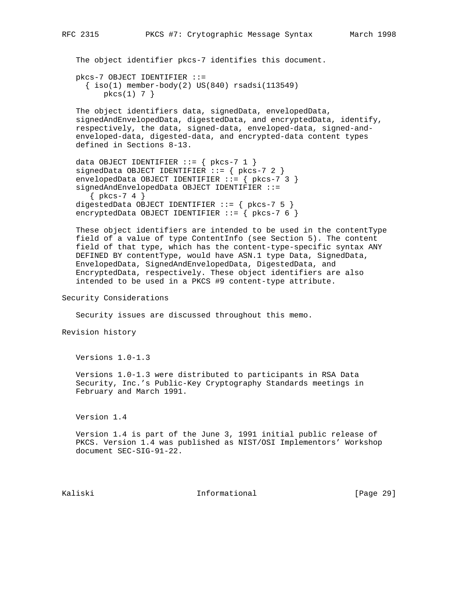The object identifier pkcs-7 identifies this document.

```
 pkcs-7 OBJECT IDENTIFIER ::=
  \{ iso(1) member-body(2) US(840) rsadsi(113549)pkcs(1) 7 }
```
 The object identifiers data, signedData, envelopedData, signedAndEnvelopedData, digestedData, and encryptedData, identify, respectively, the data, signed-data, enveloped-data, signed-and enveloped-data, digested-data, and encrypted-data content types defined in Sections 8-13.

```
data OBJECT IDENTIFIER ::= { pkcs-7 1 }
signedData OBJECT IDENTIFIER ::= { pkcs-7 2 }
 envelopedData OBJECT IDENTIFIER ::= { pkcs-7 3 }
 signedAndEnvelopedData OBJECT IDENTIFIER ::=
   { pkcs-7 4 }
 digestedData OBJECT IDENTIFIER ::= { pkcs-7 5 }
encryptedData OBJECT IDENTIFIER ::= { pkcs-7 6 }
```
 These object identifiers are intended to be used in the contentType field of a value of type ContentInfo (see Section 5). The content field of that type, which has the content-type-specific syntax ANY DEFINED BY contentType, would have ASN.1 type Data, SignedData, EnvelopedData, SignedAndEnvelopedData, DigestedData, and EncryptedData, respectively. These object identifiers are also intended to be used in a PKCS #9 content-type attribute.

Security Considerations

Security issues are discussed throughout this memo.

Revision history

Versions 1.0-1.3

 Versions 1.0-1.3 were distributed to participants in RSA Data Security, Inc.'s Public-Key Cryptography Standards meetings in February and March 1991.

Version 1.4

 Version 1.4 is part of the June 3, 1991 initial public release of PKCS. Version 1.4 was published as NIST/OSI Implementors' Workshop document SEC-SIG-91-22.

Kaliski 10 Informational [Page 29]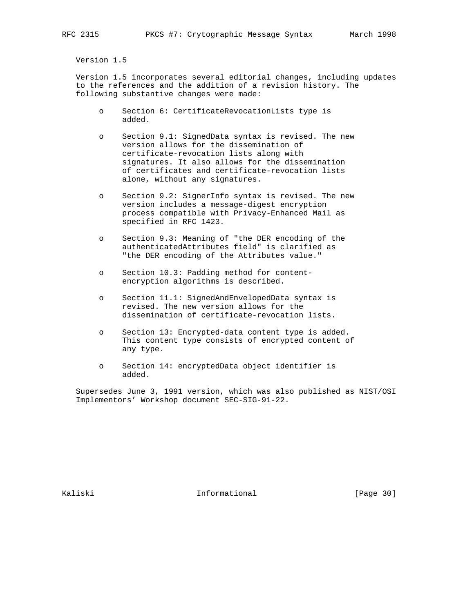Version 1.5

 Version 1.5 incorporates several editorial changes, including updates to the references and the addition of a revision history. The following substantive changes were made:

- o Section 6: CertificateRevocationLists type is added.
- o Section 9.1: SignedData syntax is revised. The new version allows for the dissemination of certificate-revocation lists along with signatures. It also allows for the dissemination of certificates and certificate-revocation lists alone, without any signatures.
- o Section 9.2: SignerInfo syntax is revised. The new version includes a message-digest encryption process compatible with Privacy-Enhanced Mail as specified in RFC 1423.
- o Section 9.3: Meaning of "the DER encoding of the authenticatedAttributes field" is clarified as "the DER encoding of the Attributes value."
- o Section 10.3: Padding method for content encryption algorithms is described.
- o Section 11.1: SignedAndEnvelopedData syntax is revised. The new version allows for the dissemination of certificate-revocation lists.
- o Section 13: Encrypted-data content type is added. This content type consists of encrypted content of any type.
- o Section 14: encryptedData object identifier is added.

 Supersedes June 3, 1991 version, which was also published as NIST/OSI Implementors' Workshop document SEC-SIG-91-22.

Kaliski 1nformational [Page 30]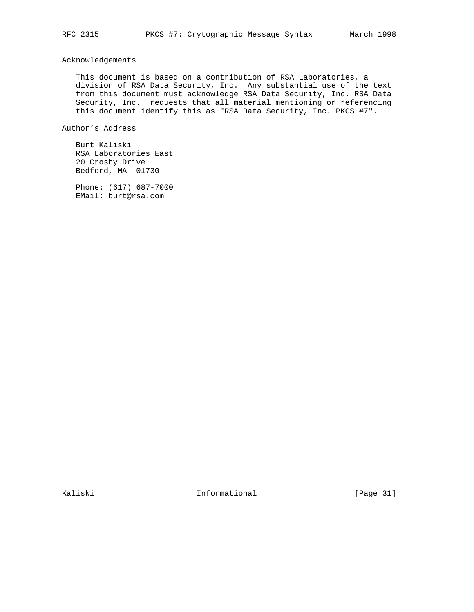Acknowledgements

 This document is based on a contribution of RSA Laboratories, a division of RSA Data Security, Inc. Any substantial use of the text from this document must acknowledge RSA Data Security, Inc. RSA Data Security, Inc. requests that all material mentioning or referencing this document identify this as "RSA Data Security, Inc. PKCS #7".

Author's Address

 Burt Kaliski RSA Laboratories East 20 Crosby Drive Bedford, MA 01730

 Phone: (617) 687-7000 EMail: burt@rsa.com

Kaliski 10. Informational [Page 31]